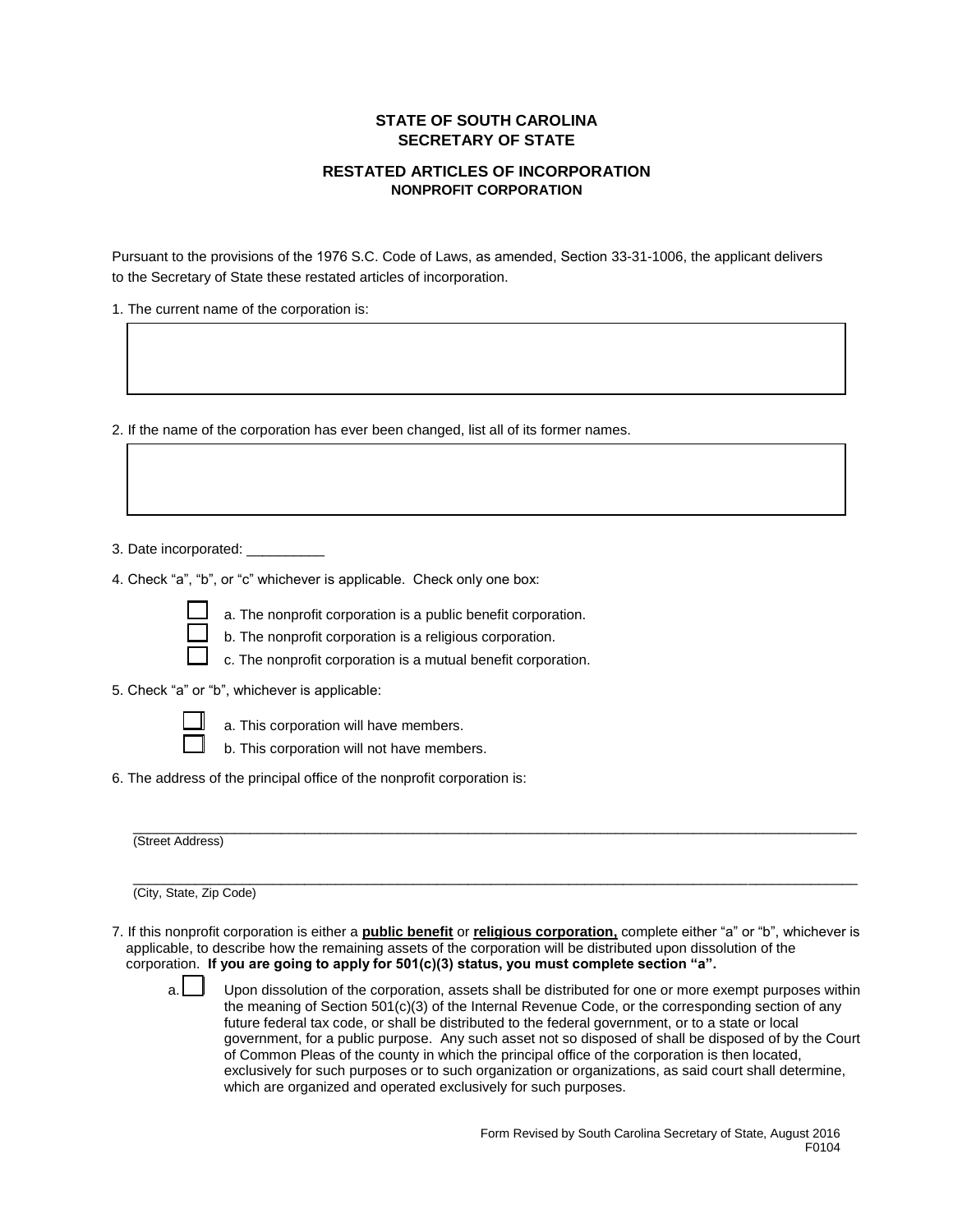## **STATE OF SOUTH CAROLINA SECRETARY OF STATE**

## **RESTATED ARTICLES OF INCORPORATION NONPROFIT CORPORATION**

Pursuant to the provisions of the 1976 S.C. Code of Laws, as amended, Section 33-31-1006, the applicant delivers to the Secretary of State these restated articles of incorporation.

1. The current name of the corporation is:

2. If the name of the corporation has ever been changed, list all of its former names.

- 3. Date incorporated: \_\_\_\_\_\_\_\_\_\_
- 4. Check "a", "b", or "c" whichever is applicable. Check only one box:



- a. The nonprofit corporation is a public benefit corporation. b. The nonprofit corporation is a religious corporation.
- c. The nonprofit corporation is a mutual benefit corporation.
- 5. Check "a" or "b", whichever is applicable:



- a. This corporation will have members.
- b. This corporation will not have members.
- 6. The address of the principal office of the nonprofit corporation is:

 $\overline{a}$  , and the state of the state of the state of the state of the state of the state of the state of the state of the state of the state of the state of the state of the state of the state of the state of the state o (Street Address)

 $\overline{a}$  , and the state of the state of the state of the state of the state of the state of the state of the state of the state of the state of the state of the state of the state of the state of the state of the state o

(City, State, Zip Code)

7. If this nonprofit corporation is either a **public benefit** or **religious corporation,** complete either "a" or "b", whichever is applicable, to describe how the remaining assets of the corporation will be distributed upon dissolution of the corporation. **If you are going to apply for 501(c)(3) status, you must complete section "a".**

a. Upon dissolution of the corporation, assets shall be distributed for one or more exempt purposes within the meaning of Section 501(c)(3) of the Internal Revenue Code, or the corresponding section of any future federal tax code, or shall be distributed to the federal government, or to a state or local government, for a public purpose. Any such asset not so disposed of shall be disposed of by the Court of Common Pleas of the county in which the principal office of the corporation is then located, exclusively for such purposes or to such organization or organizations, as said court shall determine, which are organized and operated exclusively for such purposes.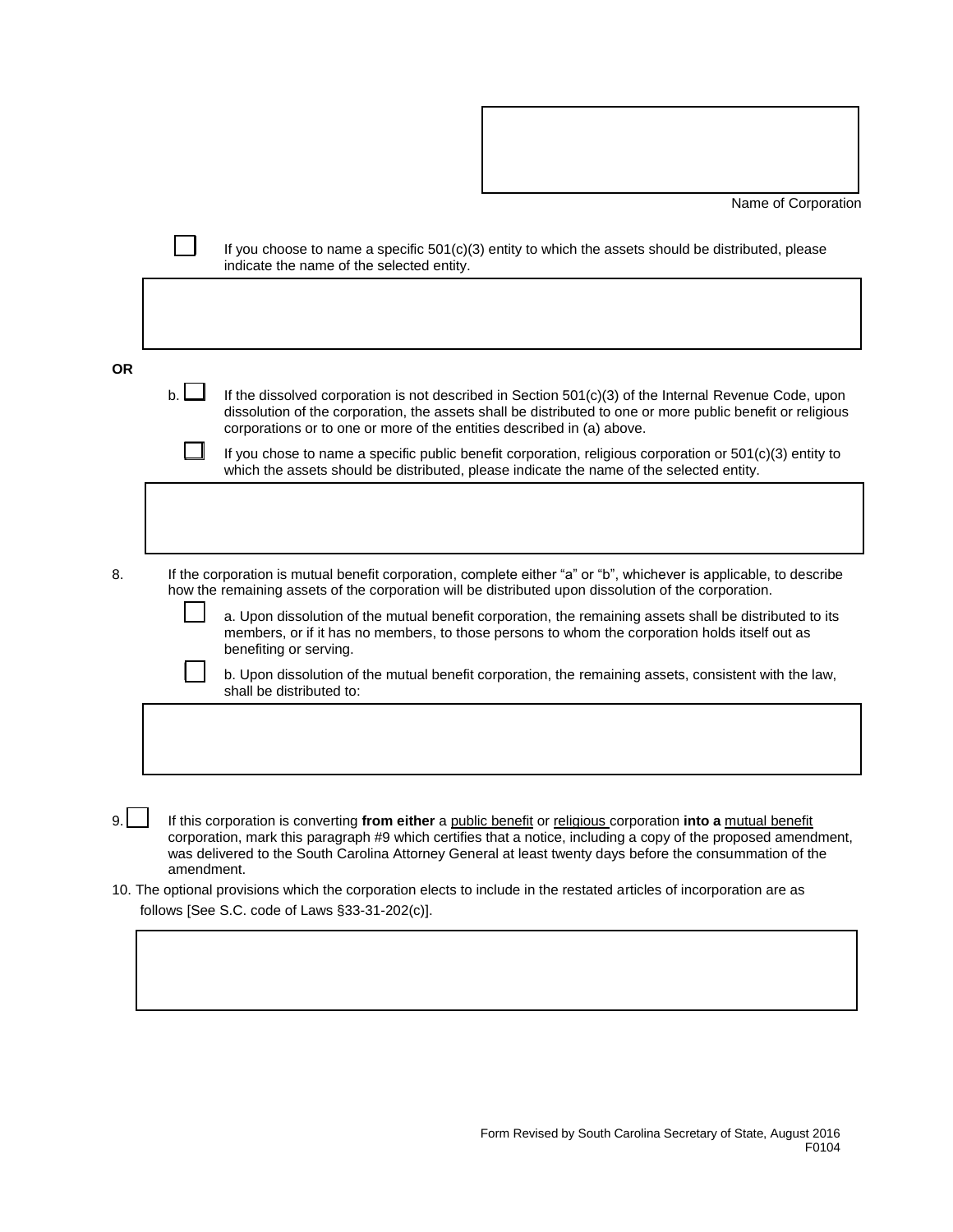Name of Corporation

|                                                                                                                                                                        |                                                                                                                                                                                                                                                                                                                                                           | If you choose to name a specific $501(c)(3)$ entity to which the assets should be distributed, please<br>indicate the name of the selected entity.                                                                                                                                            |  |  |  |  |  |
|------------------------------------------------------------------------------------------------------------------------------------------------------------------------|-----------------------------------------------------------------------------------------------------------------------------------------------------------------------------------------------------------------------------------------------------------------------------------------------------------------------------------------------------------|-----------------------------------------------------------------------------------------------------------------------------------------------------------------------------------------------------------------------------------------------------------------------------------------------|--|--|--|--|--|
|                                                                                                                                                                        |                                                                                                                                                                                                                                                                                                                                                           |                                                                                                                                                                                                                                                                                               |  |  |  |  |  |
| <b>OR</b>                                                                                                                                                              |                                                                                                                                                                                                                                                                                                                                                           |                                                                                                                                                                                                                                                                                               |  |  |  |  |  |
|                                                                                                                                                                        | b.                                                                                                                                                                                                                                                                                                                                                        | If the dissolved corporation is not described in Section 501(c)(3) of the Internal Revenue Code, upon<br>dissolution of the corporation, the assets shall be distributed to one or more public benefit or religious<br>corporations or to one or more of the entities described in (a) above. |  |  |  |  |  |
|                                                                                                                                                                        |                                                                                                                                                                                                                                                                                                                                                           | If you chose to name a specific public benefit corporation, religious corporation or $501(c)(3)$ entity to<br>which the assets should be distributed, please indicate the name of the selected entity.                                                                                        |  |  |  |  |  |
|                                                                                                                                                                        |                                                                                                                                                                                                                                                                                                                                                           |                                                                                                                                                                                                                                                                                               |  |  |  |  |  |
| 8.                                                                                                                                                                     | If the corporation is mutual benefit corporation, complete either "a" or "b", whichever is applicable, to describe<br>how the remaining assets of the corporation will be distributed upon dissolution of the corporation.                                                                                                                                |                                                                                                                                                                                                                                                                                               |  |  |  |  |  |
|                                                                                                                                                                        |                                                                                                                                                                                                                                                                                                                                                           | a. Upon dissolution of the mutual benefit corporation, the remaining assets shall be distributed to its<br>members, or if it has no members, to those persons to whom the corporation holds itself out as<br>benefiting or serving.                                                           |  |  |  |  |  |
|                                                                                                                                                                        |                                                                                                                                                                                                                                                                                                                                                           | b. Upon dissolution of the mutual benefit corporation, the remaining assets, consistent with the law,<br>shall be distributed to:                                                                                                                                                             |  |  |  |  |  |
|                                                                                                                                                                        |                                                                                                                                                                                                                                                                                                                                                           |                                                                                                                                                                                                                                                                                               |  |  |  |  |  |
|                                                                                                                                                                        |                                                                                                                                                                                                                                                                                                                                                           |                                                                                                                                                                                                                                                                                               |  |  |  |  |  |
| 9.1                                                                                                                                                                    | If this corporation is converting from either a public benefit or religious corporation into a mutual benefit<br>corporation, mark this paragraph #9 which certifies that a notice, including a copy of the proposed amendment,<br>was delivered to the South Carolina Attorney General at least twenty days before the consummation of the<br>amendment. |                                                                                                                                                                                                                                                                                               |  |  |  |  |  |
| 10. The optional provisions which the corporation elects to include in the restated articles of incorporation are as<br>follows [See S.C. code of Laws §33-31-202(c)]. |                                                                                                                                                                                                                                                                                                                                                           |                                                                                                                                                                                                                                                                                               |  |  |  |  |  |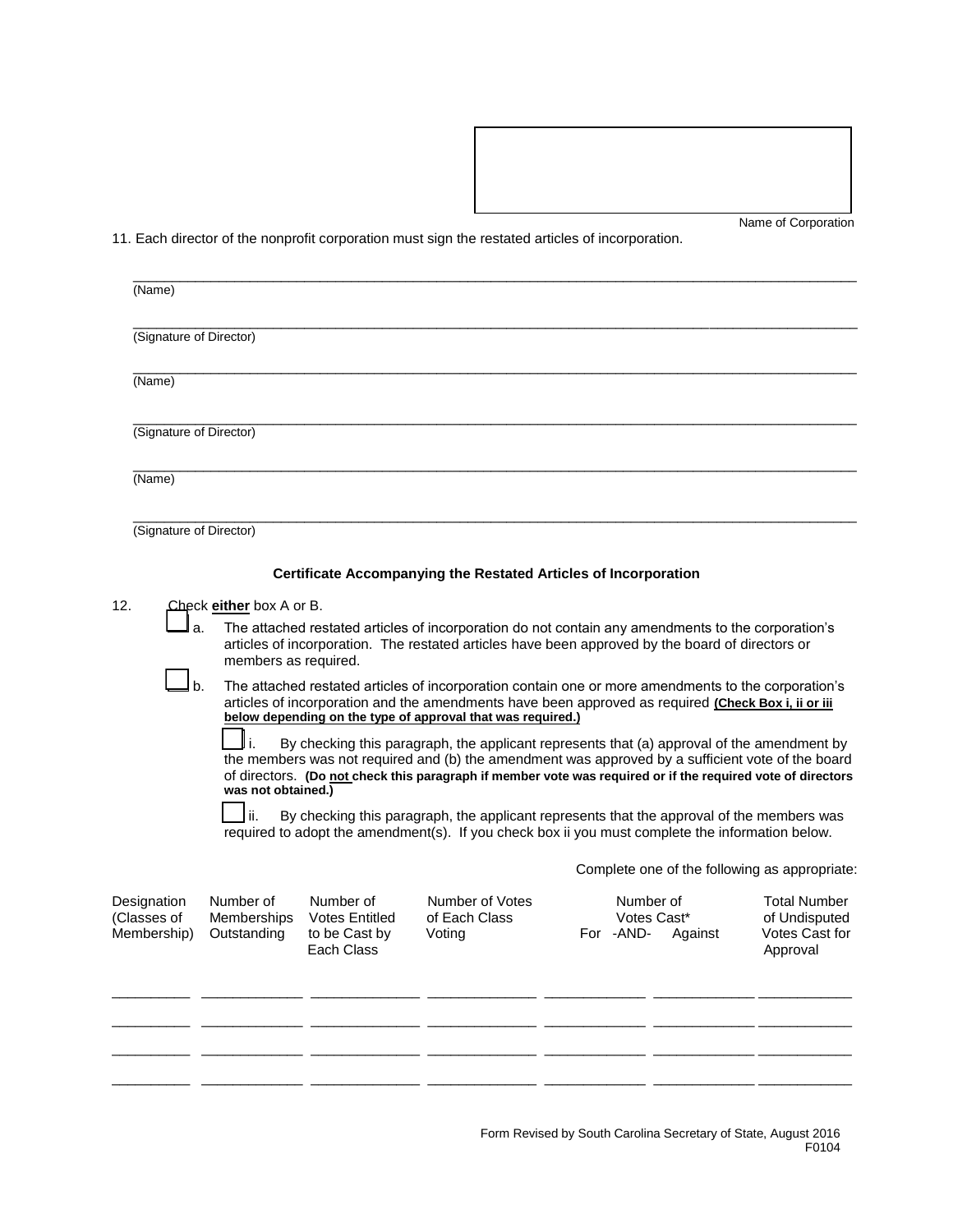Name of Corporation

11. Each director of the nonprofit corporation must sign the restated articles of incorporation.

| (Name)                                    |                                                                        |                                                                   |                                                                                                                                                                                                                                                                                                                                                                                                                                                                                                                                                                                                                                                                                                                                                                                                       |                                       |         |                                                                                                                     |
|-------------------------------------------|------------------------------------------------------------------------|-------------------------------------------------------------------|-------------------------------------------------------------------------------------------------------------------------------------------------------------------------------------------------------------------------------------------------------------------------------------------------------------------------------------------------------------------------------------------------------------------------------------------------------------------------------------------------------------------------------------------------------------------------------------------------------------------------------------------------------------------------------------------------------------------------------------------------------------------------------------------------------|---------------------------------------|---------|---------------------------------------------------------------------------------------------------------------------|
| (Signature of Director)                   |                                                                        |                                                                   |                                                                                                                                                                                                                                                                                                                                                                                                                                                                                                                                                                                                                                                                                                                                                                                                       |                                       |         |                                                                                                                     |
| (Name)                                    |                                                                        |                                                                   |                                                                                                                                                                                                                                                                                                                                                                                                                                                                                                                                                                                                                                                                                                                                                                                                       |                                       |         |                                                                                                                     |
| (Signature of Director)                   |                                                                        |                                                                   |                                                                                                                                                                                                                                                                                                                                                                                                                                                                                                                                                                                                                                                                                                                                                                                                       |                                       |         |                                                                                                                     |
| (Name)                                    |                                                                        |                                                                   |                                                                                                                                                                                                                                                                                                                                                                                                                                                                                                                                                                                                                                                                                                                                                                                                       |                                       |         |                                                                                                                     |
| (Signature of Director)                   |                                                                        |                                                                   |                                                                                                                                                                                                                                                                                                                                                                                                                                                                                                                                                                                                                                                                                                                                                                                                       |                                       |         |                                                                                                                     |
|                                           |                                                                        |                                                                   | <b>Certificate Accompanying the Restated Articles of Incorporation</b>                                                                                                                                                                                                                                                                                                                                                                                                                                                                                                                                                                                                                                                                                                                                |                                       |         |                                                                                                                     |
| 12.<br>a.<br>Jь.                          | Check either box A or B.<br>members as required.<br>was not obtained.) |                                                                   | The attached restated articles of incorporation do not contain any amendments to the corporation's<br>articles of incorporation. The restated articles have been approved by the board of directors or<br>The attached restated articles of incorporation contain one or more amendments to the corporation's<br>articles of incorporation and the amendments have been approved as required (Check Box i, ii or iii<br>below depending on the type of approval that was required.)<br>By checking this paragraph, the applicant represents that (a) approval of the amendment by<br>the members was not required and (b) the amendment was approved by a sufficient vote of the board<br>of directors. (Do not check this paragraph if member vote was required or if the required vote of directors |                                       |         |                                                                                                                     |
|                                           |                                                                        |                                                                   | By checking this paragraph, the applicant represents that the approval of the members was<br>required to adopt the amendment(s). If you check box ii you must complete the information below.                                                                                                                                                                                                                                                                                                                                                                                                                                                                                                                                                                                                         |                                       |         |                                                                                                                     |
| Designation<br>(Classes of<br>Membership) | Number of<br>Memberships<br>Outstanding                                | Number of<br><b>Votes Entitled</b><br>to be Cast by<br>Each Class | Number of Votes<br>of Each Class<br>Voting                                                                                                                                                                                                                                                                                                                                                                                                                                                                                                                                                                                                                                                                                                                                                            | Number of<br>Votes Cast*<br>For -AND- | Against | Complete one of the following as appropriate:<br><b>Total Number</b><br>of Undisputed<br>Votes Cast for<br>Approval |
|                                           |                                                                        |                                                                   |                                                                                                                                                                                                                                                                                                                                                                                                                                                                                                                                                                                                                                                                                                                                                                                                       |                                       |         |                                                                                                                     |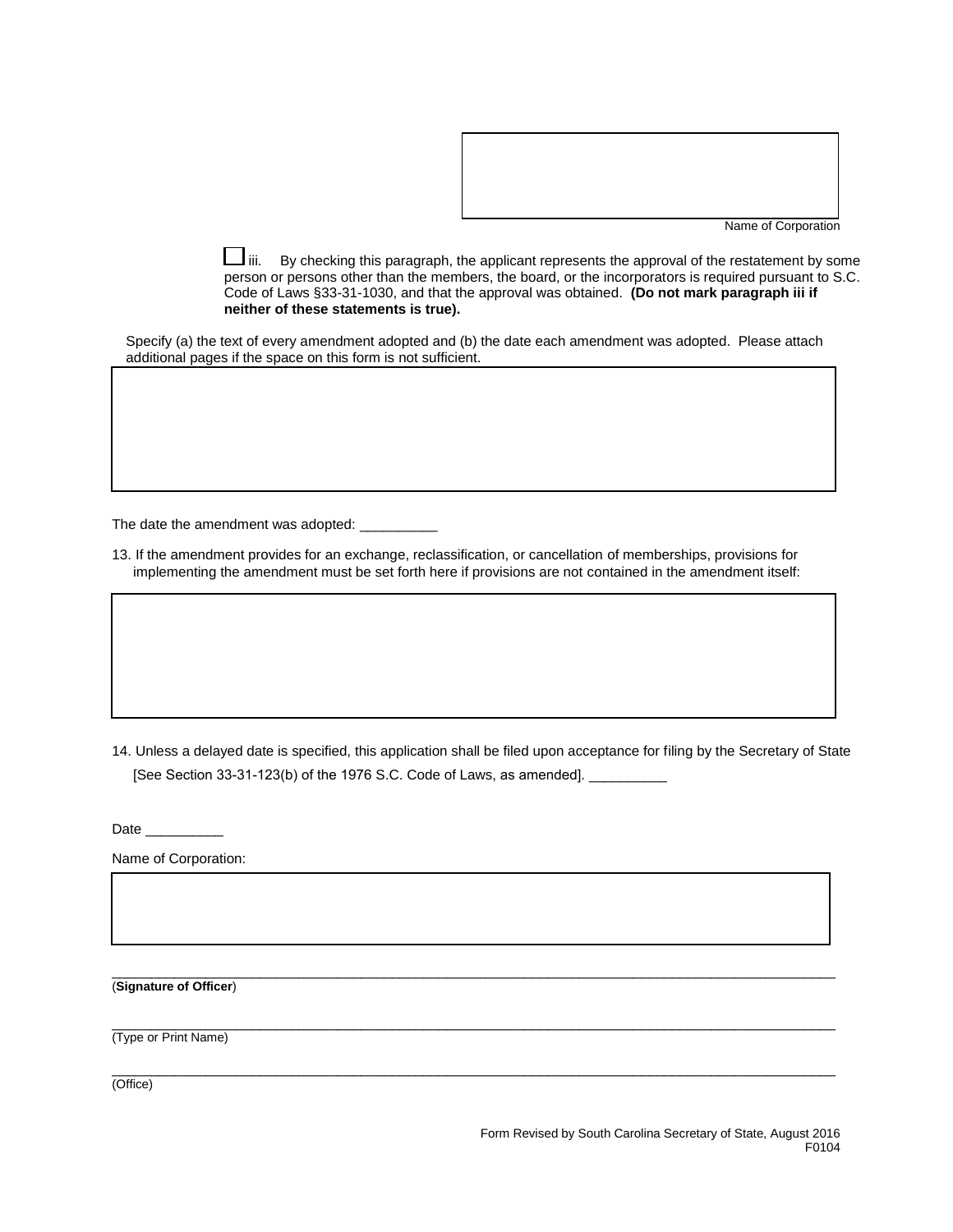

Name of Corporation

 $\perp$ iii. By checking this paragraph, the applicant represents the approval of the restatement by some person or persons other than the members, the board, or the incorporators is required pursuant to S.C. Code of Laws §33-31-1030, and that the approval was obtained. **(Do not mark paragraph iii if neither of these statements is true).** 

Specify (a) the text of every amendment adopted and (b) the date each amendment was adopted. Please attach additional pages if the space on this form is not sufficient.

The date the amendment was adopted: \_\_\_\_\_

13. If the amendment provides for an exchange, reclassification, or cancellation of memberships, provisions for implementing the amendment must be set forth here if provisions are not contained in the amendment itself:

14. Unless a delayed date is specified, this application shall be filed upon acceptance for filing by the Secretary of State [See Section 33-31-123(b) of the 1976 S.C. Code of Laws, as amended]. \_\_

 $\overline{a}$  , and the state of the state of the state of the state of the state of the state of the state of the state of the state of the state of the state of the state of the state of the state of the state of the state o

 $\overline{a}$  , and the state of the state of the state of the state of the state of the state of the state of the state of the state of the state of the state of the state of the state of the state of the state of the state o

 $\overline{a}$  , and the state of the state of the state of the state of the state of the state of the state of the state of the state of the state of the state of the state of the state of the state of the state of the state o

Date \_\_\_\_\_\_\_\_\_\_\_\_

Name of Corporation:

(**Signature of Officer**)

(Type or Print Name)

(Office)